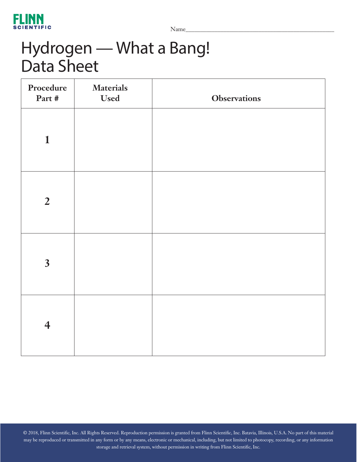

Name\_\_\_\_\_\_\_\_\_\_\_\_\_\_\_\_\_\_\_\_\_\_\_\_\_\_\_\_\_\_\_\_\_\_\_\_\_\_\_\_\_\_\_\_\_\_\_\_\_\_\_

# Hydrogen — What a Bang! Data Sheet

| Procedure<br>Part #     | <b>Materials</b><br><b>Used</b> | <b>Observations</b> |
|-------------------------|---------------------------------|---------------------|
| $\mathbf{1}$            |                                 |                     |
| $\overline{2}$          |                                 |                     |
| $\overline{\mathbf{3}}$ |                                 |                     |
| $\overline{\mathbf{4}}$ |                                 |                     |

© 2018, Flinn Scientific, Inc. All Rights Reserved. Reproduction permission is granted from Flinn Scientific, Inc. Batavia, Illinois, U.S.A. No part of this material may be reproduced or transmitted in any form or by any means, electronic or mechanical, including, but not limited to photocopy, recording, or any information storage and retrieval system, without permission in writing from Flinn Scientific, Inc.